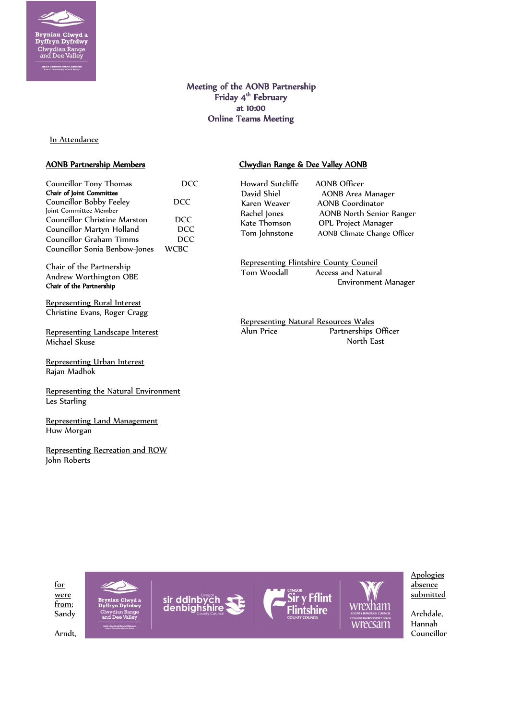

# Meeting of the AONB Partnership Friday 4<sup>th</sup> February at 10:00 Online Teams Meeting

In Attendance

## AONB Partnership Members

| Councillor Tony Thomas        |             |
|-------------------------------|-------------|
| Chair of Joint Committee      |             |
| Councillor Bobby Feeley       | <b>DCC</b>  |
| Joint Committee Member        |             |
| Councillor Christine Marston  | DCC.        |
| Councillor Martyn Holland     | <b>DCC</b>  |
| Councillor Graham Timms       | <b>DCC</b>  |
| Councillor Sonia Benbow-Jones | <b>WCBC</b> |

Chair of the Partnership Andrew Worthington OBE Chair of the Partnership

Representing Rural Interest Christine Evans, Roger Cragg

Representing Landscape Interest Michael Skuse

Representing Urban Interest Rajan Madhok

Representing the Natural Environment Les Starling

Representing Land Management Huw Morgan

Representing Recreation and ROW John Roberts

# Clwydian Range & Dee Valley AONB

Howard Sutcliffe AONB Officer<br>David Shiel AONB Area

AONB Area Manager Karen Weaver AONB Coordinator Rachel Jones AONB North Senior Ranger Kate Thomson OPL Project Manager Tom Johnstone AONB Climate Change Officer

**Representing Flintshire County Council**<br>Tom Woodall **Access** and Natura Access and Natural Environment Manager

Representing Natural Resources Wales Alun Price Partnerships Officer North East









**Apologies** 

Hannah Arndt, Councillor (Councillor Council of Council of Council of Council of Councillor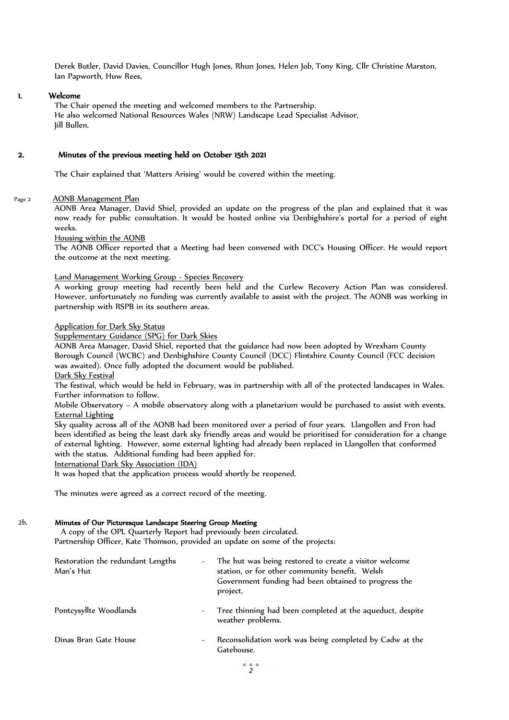Derek Butler, David Davies, Councillor Hugh Jones, Rhun Jones, Helen Job, Tony King, Cllr Christine Marston, Ian Papworth, Huw Rees,

## 1. Welcome

The Chair opened the meeting and welcomed members to the Partnership. He also welcomed National Resources Wales (NRW) Landscape Lead Specialist Advisor, Jill Bullen.

## 2. Minutes of the previous meeting held on October 15th 2021

The Chair explained that 'Matters Arising' would be covered within the meeting.

#### Page 2 AONB Management Plan

AONB Area Manager, David Shiel, provided an update on the progress of the plan and explained that it was now ready for public consultation. It would be hosted online via Denbighshire's portal for a period of eight weeks.

Housing within the AONB

The AONB Officer reported that a Meeting had been convened with DCC's Housing Officer. He would report the outcome at the next meeting.

#### Land Management Working Group - Species Recovery

A working group meeting had recently been held and the Curlew Recovery Action Plan was considered. However, unfortunately no funding was currently available to assist with the project. The AONB was working in partnership with RSPB in its southern areas.

#### Application for Dark Sky Status

Supplementary Guidance (SPG) for Dark Skies

AONB Area Manager, David Shiel, reported that the guidance had now been adopted by Wrexham County Borough Council (WCBC) and Denbighshire County Council (DCC) Flintshire County Council (FCC decision was awaited). Once fully adopted the document would be published. Dark Sky Festival

The festival, which would be held in February, was in partnership with all of the protected landscapes in Wales. Further information to follow.

Mobile Observatory – A mobile observatory along with a planetarium would be purchased to assist with events. External Lighting

Sky quality across all of the AONB had been monitored over a period of four years. Llangollen and Fron had been identified as being the least dark sky friendly areas and would be prioritised for consideration for a change of external lighting. However, some external lighting had already been replaced in Llangollen that conformed with the status. Additional funding had been applied for.

International Dark Sky Association (IDA)

It was hoped that the application process would shortly be reopened.

The minutes were agreed as a correct record of the meeting.

#### 2b. Minutes of Our Picturesque Landscape Steering Group Meeting

 A copy of the OPL Quarterly Report had previously been circulated. Partnership Officer, Kate Thomson, provided an update on some of the projects:

| Restoration the redundant Lengths<br>Man's Hut | The hut was being restored to create a visitor welcome<br>station, or for other community benefit. Welsh<br>Government funding had been obtained to progress the<br>project. |  |
|------------------------------------------------|------------------------------------------------------------------------------------------------------------------------------------------------------------------------------|--|
| Pontcysyllte Woodlands                         | Tree thinning had been completed at the aqueduct, despite<br>weather problems.                                                                                               |  |
| Dinas Bran Gate House                          | Reconsolidation work was being completed by Cadw at the<br>Gatehouse.                                                                                                        |  |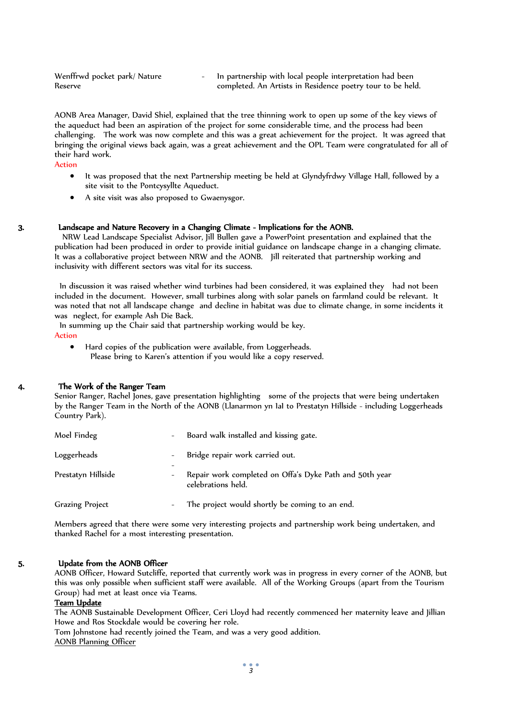Wenffrwd pocket park/ Nature Reserve

In partnership with local people interpretation had been completed. An Artists in Residence poetry tour to be held.

AONB Area Manager, David Shiel, explained that the tree thinning work to open up some of the key views of the aqueduct had been an aspiration of the project for some considerable time, and the process had been challenging. The work was now complete and this was a great achievement for the project. It was agreed that bringing the original views back again, was a great achievement and the OPL Team were congratulated for all of their hard work.

Action

- It was proposed that the next Partnership meeting be held at Glyndyfrdwy Village Hall, followed by a site visit to the Pontcysyllte Aqueduct.
- A site visit was also proposed to Gwaenysgor.

#### 3. Landscape and Nature Recovery in a Changing Climate - Implications for the AONB.

 NRW Lead Landscape Specialist Advisor, Jill Bullen gave a PowerPoint presentation and explained that the publication had been produced in order to provide initial guidance on landscape change in a changing climate. It was a collaborative project between NRW and the AONB. Jill reiterated that partnership working and inclusivity with different sectors was vital for its success.

 In discussion it was raised whether wind turbines had been considered, it was explained they had not been included in the document. However, small turbines along with solar panels on farmland could be relevant. It was noted that not all landscape change and decline in habitat was due to climate change, in some incidents it was neglect, for example Ash Die Back.

In summing up the Chair said that partnership working would be key.

Action

 Hard copies of the publication were available, from Loggerheads. Please bring to Karen's attention if you would like a copy reserved.

## 4. The Work of the Ranger Team

Senior Ranger, Rachel Jones, gave presentation highlighting some of the projects that were being undertaken by the Ranger Team in the North of the AONB (Llanarmon yn IaI to Prestatyn Hillside - including Loggerheads Country Park).

| Moel Findeg            | Board walk installed and kissing gate.                                        |
|------------------------|-------------------------------------------------------------------------------|
| Loggerheads            | Bridge repair work carried out.                                               |
| Prestatyn Hillside     | Repair work completed on Offa's Dyke Path and 50th year<br>celebrations held. |
| <b>Grazing Project</b> | The project would shortly be coming to an end.                                |

Members agreed that there were some very interesting projects and partnership work being undertaken, and thanked Rachel for a most interesting presentation.

#### 5. Update from the AONB Officer

AONB Officer, Howard Sutcliffe, reported that currently work was in progress in every corner of the AONB, but this was only possible when sufficient staff were available. All of the Working Groups (apart from the Tourism Group) had met at least once via Teams.

## Team Update

The AONB Sustainable Development Officer, Ceri Lloyd had recently commenced her maternity leave and Jillian Howe and Ros Stockdale would be covering her role.

Tom Johnstone had recently joined the Team, and was a very good addition. AONB Planning Officer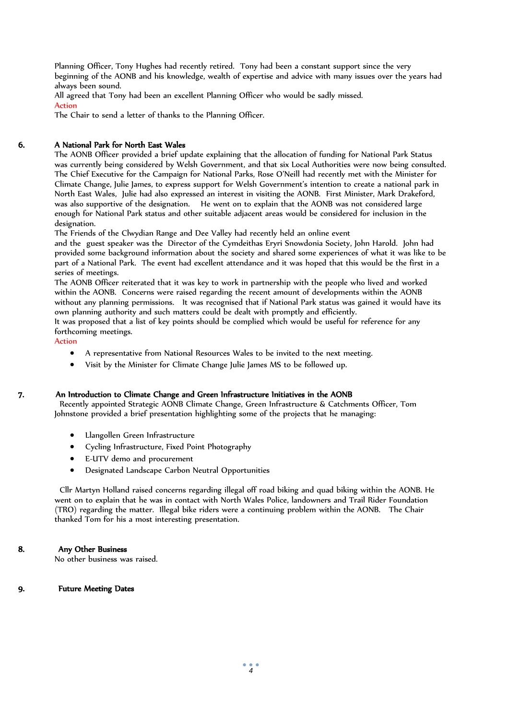Planning Officer, Tony Hughes had recently retired. Tony had been a constant support since the very beginning of the AONB and his knowledge, wealth of expertise and advice with many issues over the years had always been sound.

All agreed that Tony had been an excellent Planning Officer who would be sadly missed. Action

The Chair to send a letter of thanks to the Planning Officer.

# 6. A National Park for North East Wales

The AONB Officer provided a brief update explaining that the allocation of funding for National Park Status was currently being considered by Welsh Government, and that six Local Authorities were now being consulted. The Chief Executive for the Campaign for National Parks, Rose O'Neill had recently met with the Minister for Climate Change, Julie James, to express support for Welsh Government's intention to create a national park in North East Wales, Julie had also expressed an interest in visiting the AONB. First Minister, Mark Drakeford, was also supportive of the designation. He went on to explain that the AONB was not considered large enough for National Park status and other suitable adjacent areas would be considered for inclusion in the designation.

The Friends of the Clwydian Range and Dee Valley had recently held an online event

and the guest speaker was the Director of the Cymdeithas Eryri Snowdonia Society, John Harold. John had provided some background information about the society and shared some experiences of what it was like to be part of a National Park. The event had excellent attendance and it was hoped that this would be the first in a series of meetings.

The AONB Officer reiterated that it was key to work in partnership with the people who lived and worked within the AONB. Concerns were raised regarding the recent amount of developments within the AONB without any planning permissions. It was recognised that if National Park status was gained it would have its own planning authority and such matters could be dealt with promptly and efficiently.

It was proposed that a list of key points should be complied which would be useful for reference for any forthcoming meetings.

Action

- A representative from National Resources Wales to be invited to the next meeting.
- Visit by the Minister for Climate Change Julie James MS to be followed up.

## 7. An Introduction to Climate Change and Green Infrastructure Initiatives in the AONB

 Recently appointed Strategic AONB Climate Change, Green Infrastructure & Catchments Officer, Tom Johnstone provided a brief presentation highlighting some of the projects that he managing:

- Llangollen Green Infrastructure
- Cycling Infrastructure, Fixed Point Photography
- E-UTV demo and procurement
- Designated Landscape Carbon Neutral Opportunities

 Cllr Martyn Holland raised concerns regarding illegal off road biking and quad biking within the AONB. He went on to explain that he was in contact with North Wales Police, landowners and Trail Rider Foundation (TRO) regarding the matter. Illegal bike riders were a continuing problem within the AONB. The Chair thanked Tom for his a most interesting presentation.

## 8. Any Other Business

No other business was raised.

## 9. Future Meeting Dates